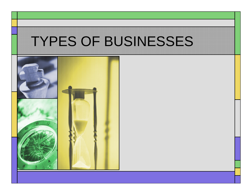#### TYPES OF BUSINESSES

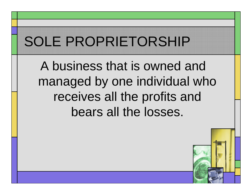# SOLE PROPRIETORSHIP

A business that is owned and managed by one individual who receives all the profits and bears all the losses.

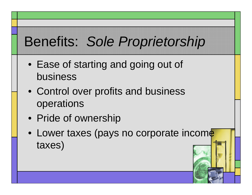### Benefits: *Sole Proprietorship*

- Ease of starting and going out of business
- Control over profits and business operations
- Pride of ownership
- Lower taxes (pays no corporate income taxes)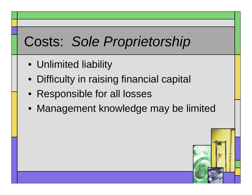#### Costs: *Sole Proprietorship*

- Unlimited liability
- Difficulty in raising financial capital
- Responsible for all losses
- Management knowledge may be limited

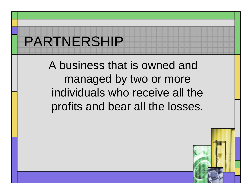## PARTNERSHIP

A business that is owned and managed by two or more individuals who receive all the profits and bear all the losses.

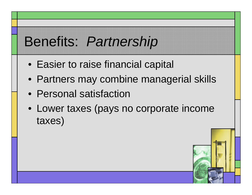#### Benefits: *Partnership*

- Easier to raise financial capital
- Partners may combine managerial skills
- Personal satisfaction
- Lower taxes (pays no corporate income taxes)

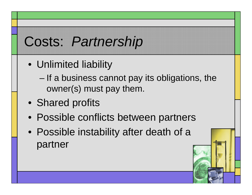### Costs: *Partnership*

- Unlimited liability
	- If a business cannot pay its obligations, the owner(s) must pay them.
- Shared profits
- Possible conflicts between partners
- Possible instability after death of a partner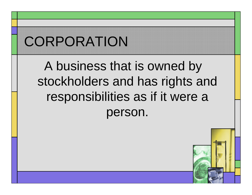# **CORPORATION**

#### A business that is owned by stockholders and has rights and responsibilities as if it were a person.

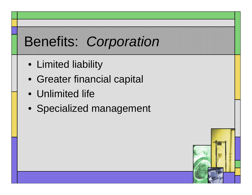### Benefits: *Corporation*

- Limited liability
- Greater financial capital
- Unlimited life
- Specialized management

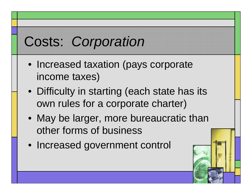### Costs: *Corporation*

- Increased taxation (pays corporate income taxes)
- Difficulty in starting (each state has its own rules for a corporate charter)
- May be larger, more bureaucratic than other forms of business
- Increased government control